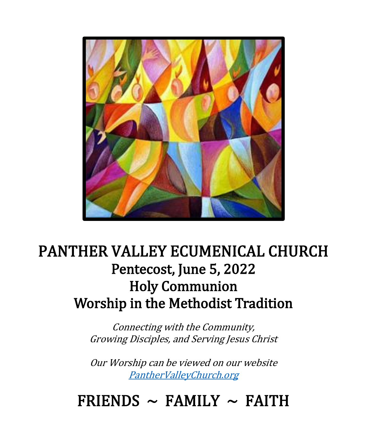

# PANTHER VALLEY ECUMENICAL CHURCH Pentecost, June 5, 2022 Holy Communion Worship in the Methodist Tradition

Connecting with the Community, Growing Disciples, and Serving Jesus Christ

Our Worship can be viewed on our website [PantherValleyChurch.org](https://www.panthervalleychurch.org/media/)

# FRIENDS  $\sim$  FAMILY  $\sim$  FAITH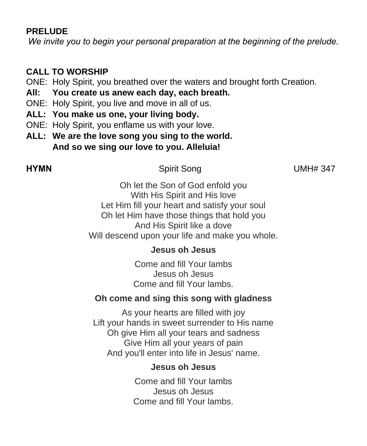#### **PRELUDE**

*We invite you to begin your personal preparation at the beginning of the prelude.*

## **CALL TO WORSHIP**

- ONE: Holy Spirit, you breathed over the waters and brought forth Creation.
- **All: You create us anew each day, each breath.**
- ONE: Holy Spirit, you live and move in all of us.
- **ALL: You make us one, your living body.**
- ONE: Holy Spirit, you enflame us with your love.
- **ALL: We are the love song you sing to the world. And so we sing our love to you. Alleluia!**

**HYMN** Spirit Song UMH# 347

Oh let the Son of God enfold you With His Spirit and His love Let Him fill your heart and satisfy your soul Oh let Him have those things that hold you And His Spirit like a dove Will descend upon your life and make you whole.

#### **Jesus oh Jesus**

Come and fill Your lambs Jesus oh Jesus Come and fill Your lambs.

# **Oh come and sing this song with gladness**

As your hearts are filled with joy Lift your hands in sweet surrender to His name Oh give Him all your tears and sadness Give Him all your years of pain And you'll enter into life in Jesus' name.

# **Jesus oh Jesus**

Come and fill Your lambs Jesus oh Jesus Come and fill Your lambs.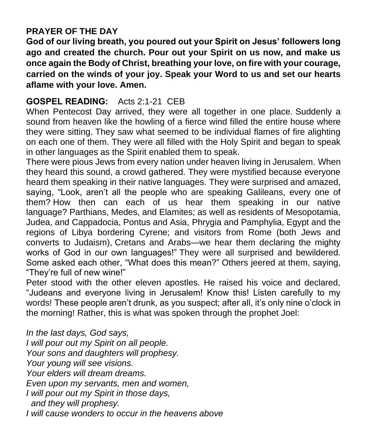# **PRAYER OF THE DAY**

**God of our living breath, you poured out your Spirit on Jesus' followers long ago and created the church. Pour out your Spirit on us now, and make us once again the Body of Christ, breathing your love, on fire with your courage, carried on the winds of your joy. Speak your Word to us and set our hearts aflame with your love. Amen.**

# **GOSPEL READING:** Acts 2:1-21 CEB

When Pentecost Day arrived, they were all together in one place. Suddenly a sound from heaven like the howling of a fierce wind filled the entire house where they were sitting. They saw what seemed to be individual flames of fire alighting on each one of them. They were all filled with the Holy Spirit and began to speak in other languages as the Spirit enabled them to speak.

There were pious Jews from every nation under heaven living in Jerusalem. When they heard this sound, a crowd gathered. They were mystified because everyone heard them speaking in their native languages. They were surprised and amazed, saying, "Look, aren't all the people who are speaking Galileans, every one of them? How then can each of us hear them speaking in our native language? Parthians, Medes, and Elamites; as well as residents of Mesopotamia, Judea, and Cappadocia, Pontus and Asia, Phrygia and Pamphylia, Egypt and the regions of Libya bordering Cyrene; and visitors from Rome (both Jews and converts to Judaism), Cretans and Arabs—we hear them declaring the mighty works of God in our own languages!" They were all surprised and bewildered. Some asked each other, "What does this mean?" Others jeered at them, saying, "They're full of new wine!"

Peter stood with the other eleven apostles. He raised his voice and declared, "Judeans and everyone living in Jerusalem! Know this! Listen carefully to my words! These people aren't drunk, as you suspect; after all, it's only nine o'clock in the morning! Rather, this is what was spoken through the prophet Joel:

*In the last days, God says, I will pour out my Spirit on all people. Your sons and daughters will prophesy. Your young will see visions. Your elders will dream dreams. Even upon my servants, men and women, I will pour out my Spirit in those days, and they will prophesy. I will cause wonders to occur in the heavens above*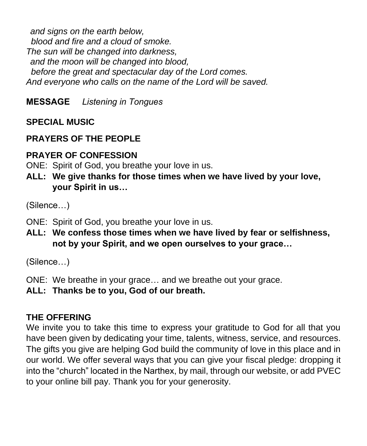*and signs on the earth below, blood and fire and a cloud of smoke. The sun will be changed into darkness, and the moon will be changed into blood, before the great and spectacular day of the Lord comes. And everyone who calls on the name of the Lord will be saved.*

**MESSAGE** *Listening in Tongues*

**SPECIAL MUSIC**

# **PRAYERS OF THE PEOPLE**

# **PRAYER OF CONFESSION**

ONE: Spirit of God, you breathe your love in us.

**ALL: We give thanks for those times when we have lived by your love, your Spirit in us…**

(Silence…)

- ONE: Spirit of God, you breathe your love in us.
- **ALL: We confess those times when we have lived by fear or selfishness, not by your Spirit, and we open ourselves to your grace…**

(Silence…)

- ONE: We breathe in your grace… and we breathe out your grace.
- **ALL: Thanks be to you, God of our breath.**

# **THE OFFERING**

We invite you to take this time to express your gratitude to God for all that you have been given by dedicating your time, talents, witness, service, and resources. The gifts you give are helping God build the community of love in this place and in our world. We offer several ways that you can give your fiscal pledge: dropping it into the "church" located in the Narthex, by mail, through our website, or add PVEC to your online bill pay. Thank you for your generosity.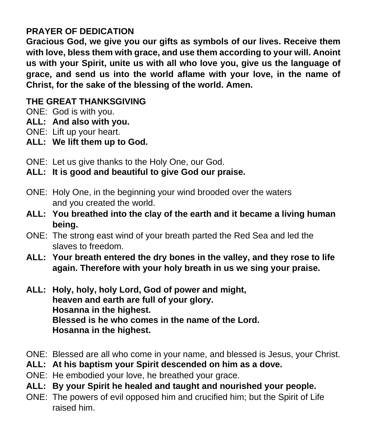# **PRAYER OF DEDICATION**

**Gracious God, we give you our gifts as symbols of our lives. Receive them with love, bless them with grace, and use them according to your will. Anoint us with your Spirit, unite us with all who love you, give us the language of grace, and send us into the world aflame with your love, in the name of Christ, for the sake of the blessing of the world. Amen.**

# **THE GREAT THANKSGIVING**

- ONE: God is with you.
- **ALL: And also with you.**
- ONE: Lift up your heart.
- **ALL: We lift them up to God.**
- ONE: Let us give thanks to the Holy One, our God.
- **ALL: It is good and beautiful to give God our praise.**
- ONE: Holy One, in the beginning your wind brooded over the waters and you created the world.
- **ALL: You breathed into the clay of the earth and it became a living human being.**
- ONE: The strong east wind of your breath parted the Red Sea and led the slaves to freedom.
- **ALL: Your breath entered the dry bones in the valley, and they rose to life again. Therefore with your holy breath in us we sing your praise.**
- **ALL: Holy, holy, holy Lord, God of power and might, heaven and earth are full of your glory. Hosanna in the highest. Blessed is he who comes in the name of the Lord. Hosanna in the highest.**
- ONE: Blessed are all who come in your name, and blessed is Jesus, your Christ.
- **ALL: At his baptism your Spirit descended on him as a dove.**
- ONE: He embodied your love, he breathed your grace.
- **ALL: By your Spirit he healed and taught and nourished your people.**
- ONE: The powers of evil opposed him and crucified him; but the Spirit of Life raised him.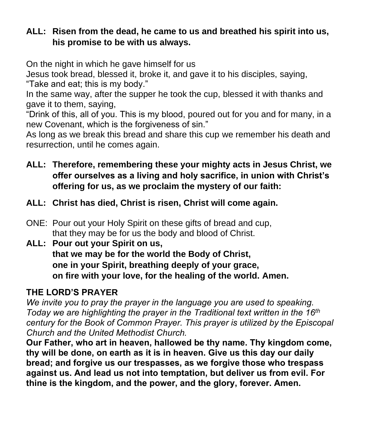## **ALL: Risen from the dead, he came to us and breathed his spirit into us, his promise to be with us always.**

On the night in which he gave himself for us

Jesus took bread, blessed it, broke it, and gave it to his disciples, saying, "Take and eat; this is my body."

In the same way, after the supper he took the cup, blessed it with thanks and gave it to them, saying,

"Drink of this, all of you. This is my blood, poured out for you and for many, in a new Covenant, which is the forgiveness of sin."

As long as we break this bread and share this cup we remember his death and resurrection, until he comes again.

- **ALL: Therefore, remembering these your mighty acts in Jesus Christ, we offer ourselves as a living and holy sacrifice, in union with Christ's offering for us, as we proclaim the mystery of our faith:**
- **ALL: Christ has died, Christ is risen, Christ will come again.**
- ONE: Pour out your Holy Spirit on these gifts of bread and cup, that they may be for us the body and blood of Christ.
- **ALL: Pour out your Spirit on us, that we may be for the world the Body of Christ, one in your Spirit, breathing deeply of your grace, on fire with your love, for the healing of the world. Amen.**

# **THE LORD'S PRAYER**

We invite you to pray the prayer in the language you are used to speaking. *Today we are highlighting the prayer in the Traditional text written in the 16th century for the Book of Common Prayer. This prayer is utilized by the Episcopal Church and the United Methodist Church.*

**Our Father, who art in heaven, hallowed be thy name. Thy kingdom come, thy will be done, on earth as it is in heaven. Give us this day our daily bread; and forgive us our trespasses, as we forgive those who trespass against us. And lead us not into temptation, but deliver us from evil. For thine is the kingdom, and the power, and the glory, forever. Amen.**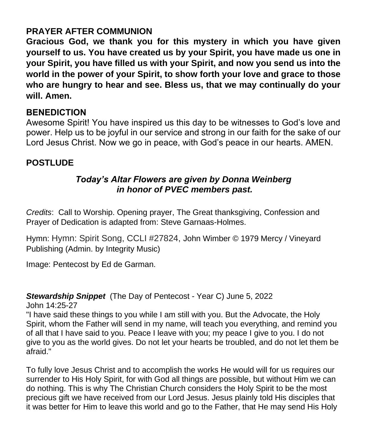## **PRAYER AFTER COMMUNION**

**Gracious God, we thank you for this mystery in which you have given yourself to us. You have created us by your Spirit, you have made us one in your Spirit, you have filled us with your Spirit, and now you send us into the world in the power of your Spirit, to show forth your love and grace to those who are hungry to hear and see. Bless us, that we may continually do your will. Amen.**

#### **BENEDICTION**

Awesome Spirit! You have inspired us this day to be witnesses to God's love and power. Help us to be joyful in our service and strong in our faith for the sake of our Lord Jesus Christ. Now we go in peace, with God's peace in our hearts. AMEN.

#### **POSTLUDE**

#### *Today's Altar Flowers are given by Donna Weinberg in honor of PVEC members past.*

*Credits*: Call to Worship. Opening prayer, The Great thanksgiving, Confession and Prayer of Dedication is adapted from: Steve Garnaas-Holmes.

Hymn: Hymn: Spirit Song, CCLI #27824, John Wimber © 1979 Mercy / Vineyard Publishing (Admin. by Integrity Music)

Image: Pentecost by Ed de Garman.

#### *Stewardship Snippet* (The Day of Pentecost - Year C) June 5, 2022

John 14:25-27

"I have said these things to you while I am still with you. But the Advocate, the Holy Spirit, whom the Father will send in my name, will teach you everything, and remind you of all that I have said to you. Peace I leave with you; my peace I give to you. I do not give to you as the world gives. Do not let your hearts be troubled, and do not let them be afraid."

To fully love Jesus Christ and to accomplish the works He would will for us requires our surrender to His Holy Spirit, for with God all things are possible, but without Him we can do nothing. This is why The Christian Church considers the Holy Spirit to be the most precious gift we have received from our Lord Jesus. Jesus plainly told His disciples that it was better for Him to leave this world and go to the Father, that He may send His Holy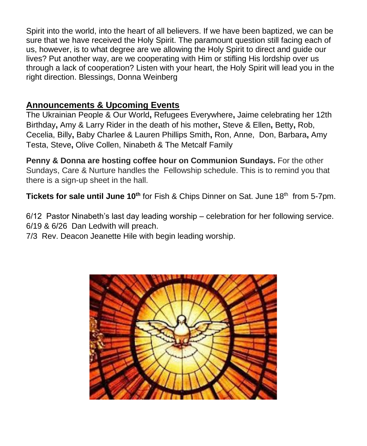Spirit into the world, into the heart of all believers. If we have been baptized, we can be sure that we have received the Holy Spirit. The paramount question still facing each of us, however, is to what degree are we allowing the Holy Spirit to direct and guide our lives? Put another way, are we cooperating with Him or stifling His lordship over us through a lack of cooperation? Listen with your heart, the Holy Spirit will lead you in the right direction. Blessings, Donna Weinberg

#### **Announcements & Upcoming Events**

The Ukrainian People & Our World**,** Refugees Everywhere**,** Jaime celebrating her 12th Birthday**,** Amy & Larry Rider in the death of his mother**,** Steve & Ellen**,** Betty**,** Rob, Cecelia, Billy**,** Baby Charlee & Lauren Phillips Smith**,** Ron, Anne, Don, Barbara**,** Amy Testa, Steve**,** Olive Collen, Ninabeth & The Metcalf Family

**Penny & Donna are hosting coffee hour on Communion Sundays.** For the other Sundays, Care & Nurture handles the Fellowship schedule. This is to remind you that there is a sign-up sheet in the hall.

**Tickets for sale until June 10<sup>th</sup> for Fish & Chips Dinner on Sat. June 18<sup>th</sup> from 5-7pm.** 

6/12 Pastor Ninabeth's last day leading worship – celebration for her following service. 6/19 & 6/26 Dan Ledwith will preach.

7/3 Rev. Deacon Jeanette Hile with begin leading worship.